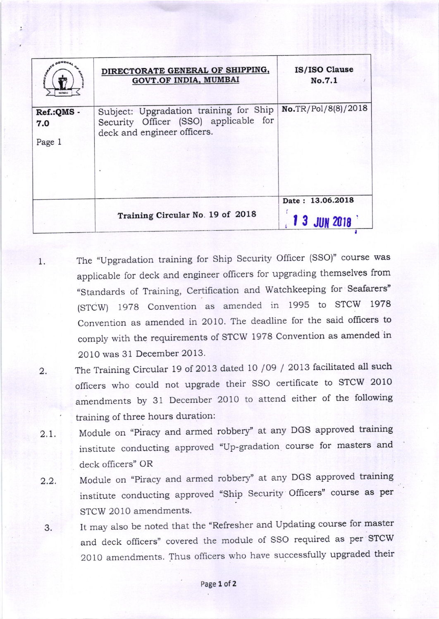|                             | DIRECTORATE GENERAL OF SHIPPING,<br>GOVT.OF INDIA, MUMBAI                                                      | IS/ISO Clause<br>No.7.1          |
|-----------------------------|----------------------------------------------------------------------------------------------------------------|----------------------------------|
| Ref.:QMS -<br>7.0<br>Page 1 | Subject: Upgradation training for Ship<br>Security Officer (SSO) applicable for<br>deck and engineer officers. | No.TR/Pol/8(8)/2018              |
|                             | Training Circular No. 19 of 2018                                                                               | Date: 13.06.2018<br>1 3 JUN 2018 |

- 1. The "Upgradation training for Ship Security Officer (SSO)" course was applicable for deck and engineer officers for upgrading themselves from "Standards of Training, Certification and Watchkeeping for Seafarers" (STCW) 1g7B Convention as amended in 1995 to STCW <sup>1978</sup> Convention as amended in 2010. The deadline for the said officers to comply with the requirements of sTCW 1978 Convention as amended in 20 10 was 31 December 2013.
- 2. The Training Circular 19 of 2013 dated 10 /09 / 2013 facilitated all such officers who could nor upgrade their SSO certificate to STCW 2010 amendments by 31 December 2010 to attend either of the following training of three hours duration:
- 2.1. Module on "Piracy and armed robbery" at any DGS approved training institute conducting approved "Up-gradation course for masters and deck officers" OR
- 2.2. Module on "Piracy and armed robbery" at any DGS approved training institute conducting approved "Ship Security officers" course as per STCW 2010 amendments.
- 3. It may also be noted that the "Refresher and Updating course for master and deck officers" covered the module of SSO required as per STCW <sup>2010</sup>amendments. Thus officers who have successfully upgraded their